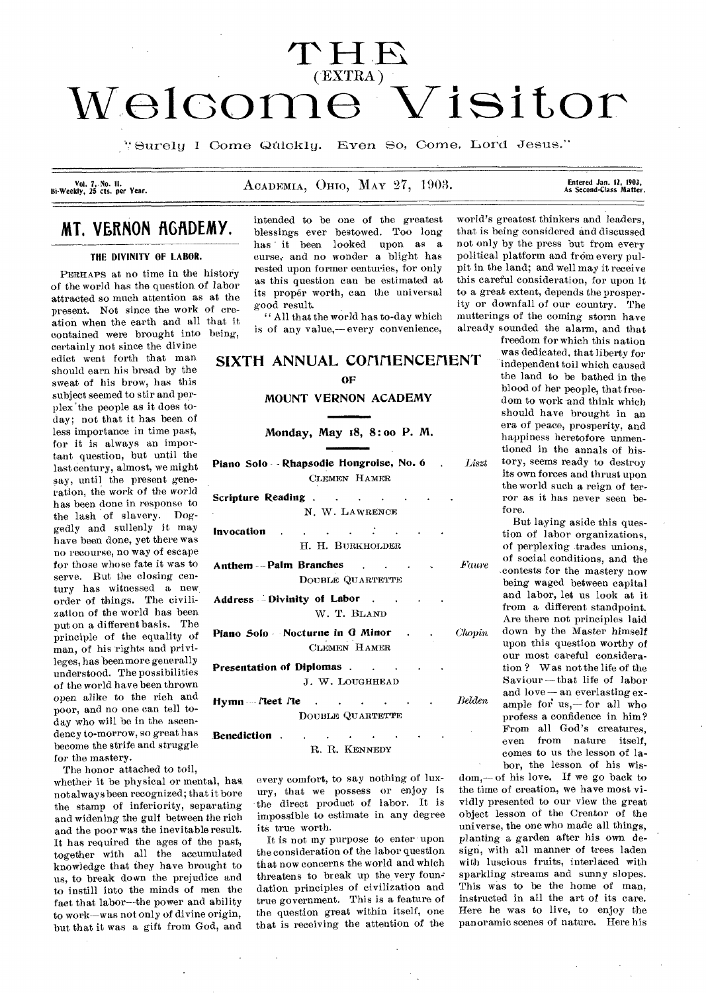# **T H**  (-EXTRA) **Woloomo Visitor**

'`Surelu **I** Come Ofilokly. Even So, Come, Lord Jesus."

Vol. 7, No. 11.<br>Bi-Weekly, 25 cts. per Year.

# ACADEMIA, OHIO, MAY 27, 1903.

Entered Jan. 12, 1903,<br>As Second-Class Matter.

# **MT. VERNON AGADEMY.**

# **THE DIVINITY OF LABOR.**

PERHAPS at no time in the history of the world has the question of labor attracted so much attention as at the present. Not since the work of creation when the earth and all that it contained were brought into being, certainly not since the divine edict went forth that man should earn his bread by the sweat of his brow, has this subject seemed to stir and perplex 'the people as it does today; not that it has been of less importance in time past, for it is always an important question, but until the last century, almost, we might say, until the present generation, the work of the world has been done in response to the lash of slavery. Doggedly and sullenly it may have been done, yet there was no recourse, no way of escape for those whose fate it was to serve. But the closing century has witnessed a new, order of things. The civilization of the world has been put on a different basis. The principle of the equality of man, of his rights and privileges, has been more generally understood. The possibilities of the world have been thrown open alike to the rich and poor, and no one can tell today who will be in the ascendency to-morrow, so great has become the strife and struggle for the mastery.

The honor attached to toil,

whether it be physical or mental, has, not always been recognized; that it bore the stamp of inferiority, separating and widening the gulf between the rich and the poor was the inevitable result. It has required the ages of the past, together with all the accumulated knowledge that they have brought to us, to break down the prejudice and to instill into the minds of men the fact that labor--the power and ability to work—was not only of divine origin, but that it was a gift from God, and

intended to be one of the greatest blessings ever bestowed. Too long has it been looked upon as a curse; and no wonder a blight has rested upon former centuries, for only as this question can be estimated at its proper worth, can the universal good result.

" All that the world has to-day which is of any value,— every convenience,

# SIXTH ANNUAL COMMENCEMENT OF

# **MOUNT VERNON ACADEMY**

**Monday, May 18, 8 : oo P. M.** 

**No. 6 Piano Solo - Rhapsodie Hongroise,**  CLEMEN HAMER

- **Scripture Reading . .**   $\sim$  $\ddot{\phantom{a}}$ **N.** W. LAWRENCE ÷ **Invocation**   $\mathcal{L}^{\mathcal{A}}$  $\sim 100$  $\sim$ H. H. BURKHOLDER
- **Anthem Palm Branches .**  Faure DOUBLE QUARTETTE
- **Address Divinity of Labor .**  W. T. BLAND
- **Piano Solo Nocturne in Q Minor**  CLEMEN HAMER
- **Presentation of Diplomas . .**  J. W. LOUGHHEAD
- *Belden*  **Hymn** fleet *Ne* DOUBLE QUARTETTE
- **Benediction .**   $\sim$  $\sim$ R. R. KENNEDY

every comfort, to say nothing of luxury, that we possess or enjoy is the direct product of labor. It is impossible to estimate in any degree its true worth.

It is not my purpose to enter upon the consideration of the labor question that now concerns the world and which threatens to break up the very foundation principles of civilization and true government. This is a feature of the question great within itself, one that is receiving the attention of the

world's greatest thinkers and leaders, that is being considered and discussed not only by the press but from every political platform and from every pulpit in the land; and well may it receive this careful consideration, for upon it to a great extent, depends the prosperity or downfall of our country. The mutterings of the coming storm have already sounded the alarm, and that

freedom for which this nation was dedicated, that liberty for independent toil which caused the land to be bathed in the blood of her people, that freedom to work and think which should have brought in an era of peace, prosperity, and happiness heretofore unmentioned in the annals of his-Liszt tory, seems ready to destroy its own forces and thrust upon the world such a reign of terror as it has never seen before.

But laying aside this question of labor organizations, of perplexing trades unions, of social conditions, and the .contests for the mastery now being waged between capital and labor, let us look at it from a different standpoint. Are there not principles laid *Chopin* down by the Master himself upon this question worthy of our most careful consideration ? Was not the life of the Saviour—that life of labor and love — an everlasting example for us,-for all who profess a confidence in him? From all God's creatures, even from nature itself, comes to us the lesson of labor, the lesson of his wis-

dom,— of his love, If we go back to the time of creation, we have most vividly presented to our view the great object lesson of the Creator of the universe, the one who made all things, planting a garden after his own design, with all manner of trees laden with luscious fruits, interlaced with sparkling streams and sunny slopes. This was to be the home of man. instructed in all the art of its care. Here he was to live, to enjoy the panoramic scenes of nature. Here his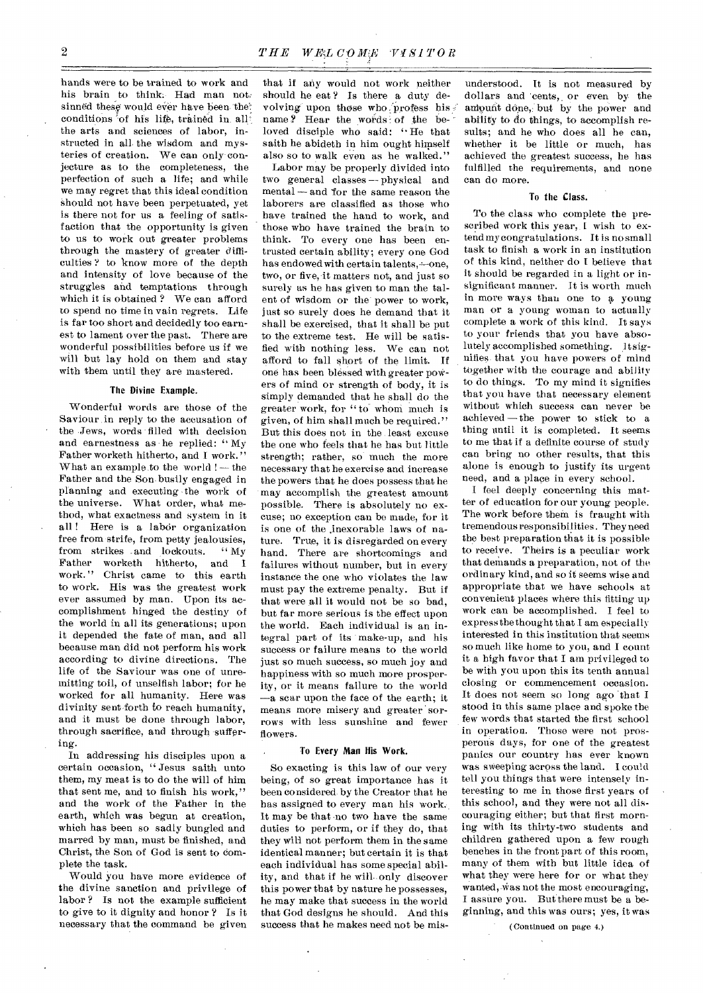hands were to be trained to work and his brain to think: Had man not; sinned these would ever have been the: conditions of his life, trained in all the arts and sciences of labor, instructed in all the wisdom and mysteries of creation. We can only conjecture as to the completeness, the perfection of such a life; and while we may regret that this ideal condition Should not have been perpetuated, yet is there not for us a feeling of satisfaction that the opportunity is given to us to work out greater problems through the mastery of greater difficulties ? to know more of the depth and intensity of love because of the struggles and temptations through which it is obtained ? We can afford to spend no time in vain regrets. Life is far too short and decidedly too earnest to lament over the past. There are wonderful possibilities before us if we will but lay hold on them and stay with them until they are mastered.

# The Divine Example.

Wonderful words are those of the Saviour, in reply to the accusation of the Jews, words filled with decision and earnestness as he replied: " My Father worketh hitherto, and I work." What an example to the world ! — the Father and the Son busily engaged in planning and executing the work of the universe. What order, what method, what exactness and system in it all! Here is a labor organization free from strife, from petty jealousies,<br>from strikes and lockouts. "My from strikes and lockouts. Father worketh hitherto, and I work." Christ came to this earth to work. His was the greatest work ever assumed by man. Upon its accomplishment hinged the destiny of the world in all its generations; upon it depended the fate of man, and all because man did not perform his work according to divine directions. The life of the Saviour was one of unremitting toil, of unselfish labor; for he worked for all humanity. Here was divinity sent forth to reach humanity, and it must be done through labor, through sacrifice, and through suffering.

In addressing his disciples upon a certain occasion, " Jesus saith unto them, my meat is to do the will of him that sent me, and to finish his work," and the work of the Father in the earth, which was begun at creation, which has been so sadly bungled and marred by man, must be finished, and Christ, the Son of God is sent to complete the task.

Would you have more evidence of the divine sanction and privilege of labor? Is not the example sufficient to give to it dignity and honor ? Is it necessary that the command be given that if any would not work neither should he eat? Is there a duty devolving upon those who ,'profess his name? Hear the words of the beloved disciple who said: " He that saith he abideth in him ought himself also so to walk even as he walked."

Labor may be properly divided into two general classes -- physical and  $mental - and for the same reason the$ laborers are classified as those who have trained the hand to work, and those who have trained the brain to think. To every one has been entrusted certain ability; every one God has endowed with certain talents, -- one, two, or five, it matters not, and just so surely as he has given to man the talent of wisdom or the power to work, just so surely does he demand that it shall be exercised, that it shall be put to the extreme test. He will be satisfied with nothing less. We can not afford to fall short of the limit. If one has been blessed with greater powers of mind or strength of body, it is simply demanded that he shall do the greater work, for " to whoni much is given, of him shall much be required." But this does not in the least excuse the one who feels that he has but little strength; rather, so much the more necessary that he exercise and increase the powers that he does possess that he may accomplish the greatest amount possible. There is absolutely no excuse; no exception can be made, for it is one of the ,inexorable laws of nature. True, it is disregarded on every hand. There are shortcomings and failures without number, but in every instance the one who violates the law must pay the extreme penalty. But if that were all it would not be so bad, but far more serious is the effect upon the world. Each individual is an integral part of its make-up, and his success or failure means to the world just so much success, so much joy and happiness with so much more prosperity, or it means failure to the world —a scar upon the face of the earth; it means more misery and greater sorrows with less sunshine and fewer flowers.

#### To Every Man His Work.

So exacting is this law of our very being, of so great importance has it been considered- by the Creator that he has assigned to every man his work. It may be that no two have the same duties to perform, or if they do, that they will not perform them in the same identical manner; but certain it is that each individual has some special ability, and that if he will only discover this power that by nature he possesses, he may make that success in the world that God designs he should. And this success that he makes need not be mis-

understood. It is not measured by dollars and cents, or even by the amount done, but by the power and ability to do things, to accomplish results; and he who does all he can, whether it be little or much, has achieved the greatest success, he has fulfilled the requirements, and none can do more.

# To the Class.

To the class who complete the prescribed work this year, I wish to extend my congratulations. It is no small task to finish a work in an institution of this kind, neither do I believe that it should be regarded in a light or insignificant manner. It is worth much in more ways than one to a young man or a young woman to actually complete a work of this kind. It says to your friends that you have absolutely accomplished something. It signifies\_ that you have powers of mind together with the courage and ability to do things. To my mind it signifies that you have that necessary element without which success can never be achieved — the power to stick to a thing until it is completed. It seems to me that if a definite course of study can bring no other results, that this alone is enough to justify its urgent need, and a place in every school.

I feel deeply concerning this matter of education for our young people. The work before them is fraught with tremendous responsibilities. They need the best preparation that it is possible to receive. Theirs is a peculiar work that demands a preparation, not of the ordinary kind, and so it seems wise and appropriate that we have schools at convenient places where this fitting up work can be accomplished. I feel to express the thought that I am especially interested in this institution that seems so much like home to you, and I count it a high favor that I am privileged to be with you upon this its tenth annual closing or commencement occasion. It does not seem so long ago that I stood in this same place and spoke the few words that started the first school in operation. Those were not prosperous days, for one of the greatest panics our country has ever known was sweeping across the land. I could tell you things that were intensely interesting to me in those first years of this school, and they were not all discouraging either; but that first morning with its thirty-two students and children gathered upon a few rough benches in the front part of this room, many of them with but little idea of what they were here for or what they wanted, was not the most encouraging, I assure you. But there must be a beginning, and this was ours; yes, it was

(Continued on page 4.)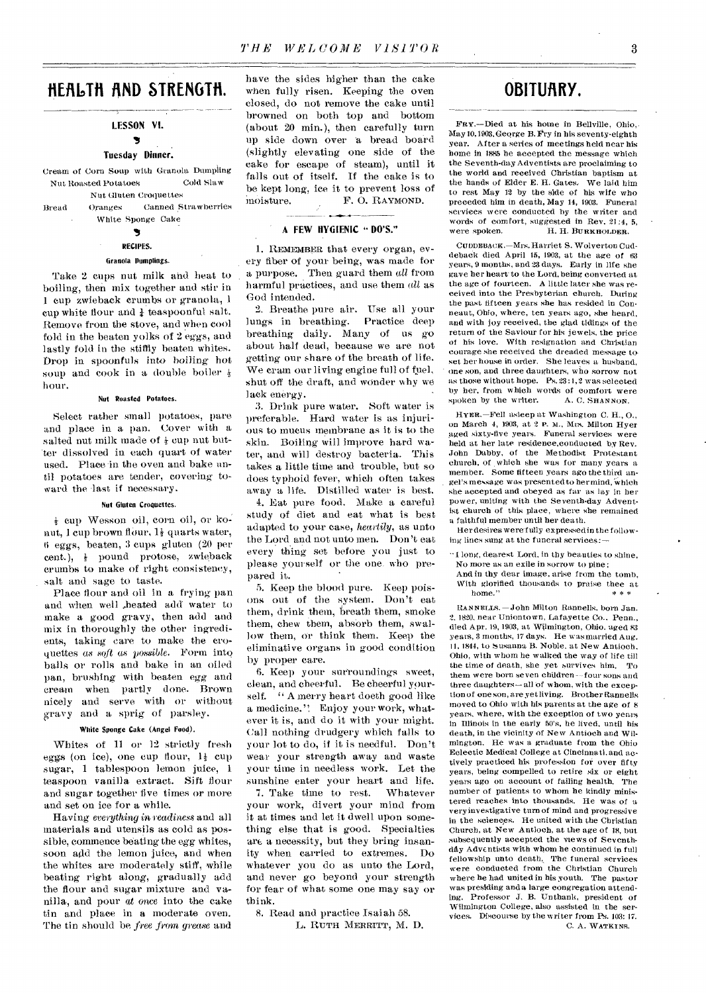# **HERLTH !ND STRENGTH.**

### LESSON VI.

# У Tuesday Dinner.

Cream of Corn Soup with Granola Dumpling Nut Roasted Potatoes Cold Slaw

Nut Gluten Croquettes Bread Oranges Canned Strawberries White Sponge Cake

# ъ RECIPES.

# Granola Dumplings.

Take 2 cups nut milk and heat to boiling, then mix together and stir in 1 cup zwieback crumbs or granola, I cup white flour and  $\frac{1}{4}$  teaspoonful salt. Remove from the stove, and when cool fold in the beaten yolks of 2 eggs, and lastly fold in the stiffly beaten whites. Drop in spoonfuls into boiling hot soup and cook in a double boiler  $\frac{1}{2}$ hour.

## Nut Roasted Potatoes,

Select rather small potatoes, pare and place in a pan. Cover with a salted nut milk made of  $\frac{1}{2}$  cup nut butter dissolved in each quart of water used. Place in the oven and bake until potatoes are tender, covering toward the last if necessary.

#### Nut Gluten Croquettes.

 $\frac{1}{2}$  cup Wesson oil, corn oil, or konut, 1 cup brown flour,  $1\frac{1}{2}$  quarts water, 6 eggs, beaten, 3 cups gluten (20 per cent.),  $\frac{1}{2}$  pound protose, zwieback crumbs to make of right consistency, salt and sage to taste.

Place flour and oil in a frying pan and when well heated add water to make a good gravy, then add and mix in thoroughly the other ingredients, taking care to make the croquettes *as soft as possible.* Form into balls or rolls and bake in an oiled pan, brushing with beaten egg and cream when partly done. Brown nicely and serve with or without gravy and a sprig of parsley.

## White Sponge Cake (Angel Food).

Whites of 11 or 12 strictly fresh eggs (on ice), one cup flour, 14 cup sugar, 1 tablespoon lemon juice, 1 teaspoon vanilla extract. Sift flour and sugar together five times or more and set on ice for a while.

Having *everything in readiness* and all materials and utensils as cold as possible, commence beating the *egg* whites, soon add the lemon juice, and when the whites are moderately stiff, while beating right along, gradually add the flour and sugar mixture and vanilla, and pour at once into the cake tin and place in a moderate oven. The tin should be *free from grease* and

have the sides higher than the cake when fully risen. Keeping the oven closed, do not remove the cake until browned on both top and bottom (about 20 min.), then carefully turn up side down over a bread board (slightly elevating one side of the cake for escape of steam), until it falls out of itself. If the cake is to be kept long, ice it to prevent loss of moisture. F. O. RAYMOND.

# A FEW HYGIENIC " DO'S."

1. REMEMBER that every organ, every fiber of your being, was made for a purpose. Then guard them *all* from harmful practices, and use them *all* as God intended.

2. Breathe pure air. Use all your lungs in breathing. Practice deep breathing daily. Many of us go about half dead, because we are not getting our share of the breath of life. We cram our living engine full of fuel, shut off the draft, and wonder why we lack energy.

3. Drink pure water. Soft water is preferable. Hard water is as injurious to mucus membrane as it is to the skin. Boiling will improve hard water, and will destroy bacteria. This takes a little time and trouble, but so does typhoid fever, which often takes away a life. Distilled water is best.

4. Eat pure food. Make a careful study of diet and eat what is best adapted to your case, *heartily,* as unto the Lord and not unto men. Don't eat every thing set before you just to please yourself or the one. who prepared it.

5. Keep the blood pure. Keep poisons out of the system. Don't eat them, drink them, breath them, smoke them, chew them, absorb them, swallow them, or think them. Keep the eliminative organs in good condition by proper care.

6. Keep your surroundings sweet, clean, and cheerful. Be cheerful yourself. " A merry heart doeth good like a medicine." Enjoy your work, whatever it is, and do it with your might. Call nothing drudgery which falls to your lot to do, if it is needful. Don't wear your strength away and waste your time in needless work. Let the sunshine enter your heart and life.<br>7. Take time to rest. Whatever

7. Take time to rest. your work, divert your mind from it at times and let it dwell upon something else that is good. Specialties are a necessity, but they bring insanity when carried to extremes. Do whatever you do as unto the Lord, and never go beyond your strength for fear of what some one may say or think.

8. Read and practice Isaiah 58. L. RUTH MERRITT, M. D.

# **OBITURRY.**

FRY.—Died at his home in Bellville, Ohio,. May 10,1903, George B. Pry in his seventy-eighth year. After a series of meetings held near his home in 1885 he accepted the message which the Seventh-day Adventists are proclaiming to the world and received Christian baptism at the hands of Elder E. H. Gates, We laid him to rest May 12 by the side of his wife who preceded him in death, May 14, 1903. Funeral services were conducted by the writer and words of comfort, suggested in Rev. 21:4, 5, were spoken. H. H. BURKHOLDER.

CUDDEBACK.-Mrs. Harriet S. Wolverton Cuddeback died April 15, 1903, at the age of 63 years, 9 months, and 23 days. Early in life she gave her heart to the Lord, being converted at the age of fourteen. A little later she was received into the Presbyterian church. During the past fifteen years she has resided in Conneaut, Ohio, where, ten years ago, she heard, and with joy received, the glad tidings of the return of the Saviour for his jewels, the price of his love. With resignation and Christian courage she received the dreaded message to set her house in order. She leaves a husband, one son, and three daughters, who sorrow not as those without hope. Ps. 23 :1,2 was selected by her, from which words of comfort were<br>spoken by the writer. A. C. SHANNON. spoken by the writer.

HYER.-Fell asleep at Washington C. H., O., on March 4, 1903, at 2 P. M., Mrs. Milton Hyer aged sixty-five years. Funeral services were held at her late residence,conducted by Rev. John Dabby, of the Methodist Protestant church, of which she was for many years a member. Some fifteen years ago the third angel's message was presented to her mind, which she accepted and obeyed as far as lay in her power, uniting with the Seventh-day Adventist church of this place, where she remained a faithful member until her death.

Her desires were fully expressed in the following lines sung at the funeral services:

" 1 long, dearest Lord, in thy beauties to shine, No more as an exile in sorrow to pine;

And in thy dear image, arise from the tomb, With glorified thousands to praise thee at home."

RAN DIELLS. —John Milton Rannells, born Jan. 2. 1820, near Uniontown, Lafayette Co.. Penn., died Apr. 19, 1903, at Wilmington, Ohio. aged 83 years, 3 months, 17 days. He was married Aug. 11, 1844, to Susanna B. Noble. at New Antioch, Ohio, with whom he walked the way of life till the time of death, she yet survives him. To them were born seven children—four sons and three daughters— all of whom, with the exception of one son, are yet living. Brother Rannells moved to Ohio with his parents at the age of 8 years, where, with the exception of two years in Illinois in the early 50's, he lived, until his death, in the vicinity of New Antioch and Wilmington. He was a graduate from the Ohio Eclectic Medical College at Cincinnati, and actively practiced his profession for over fifty years, being compelled to retire six or eight years ago on account of failing health. The number of patients to whom he kindly ministered reaches into thousands. He was of a very investigative turn of mind and progressive in the sciences. He united with the Christian Church, at New Antioch, at the age of 18, but subsequently accepted the views of Seventhday Adventists with whom he continued in full fellowship unto death, The funeral services were conducted from the Christian Church where he had united in his youth. The pastor was presiding and a large congregation attending. Professor J. B. Unthank, president of Wilmington College, also assisted in the services. Discourse by the writer from Ps. 103: 17. C. A. WATKINS.